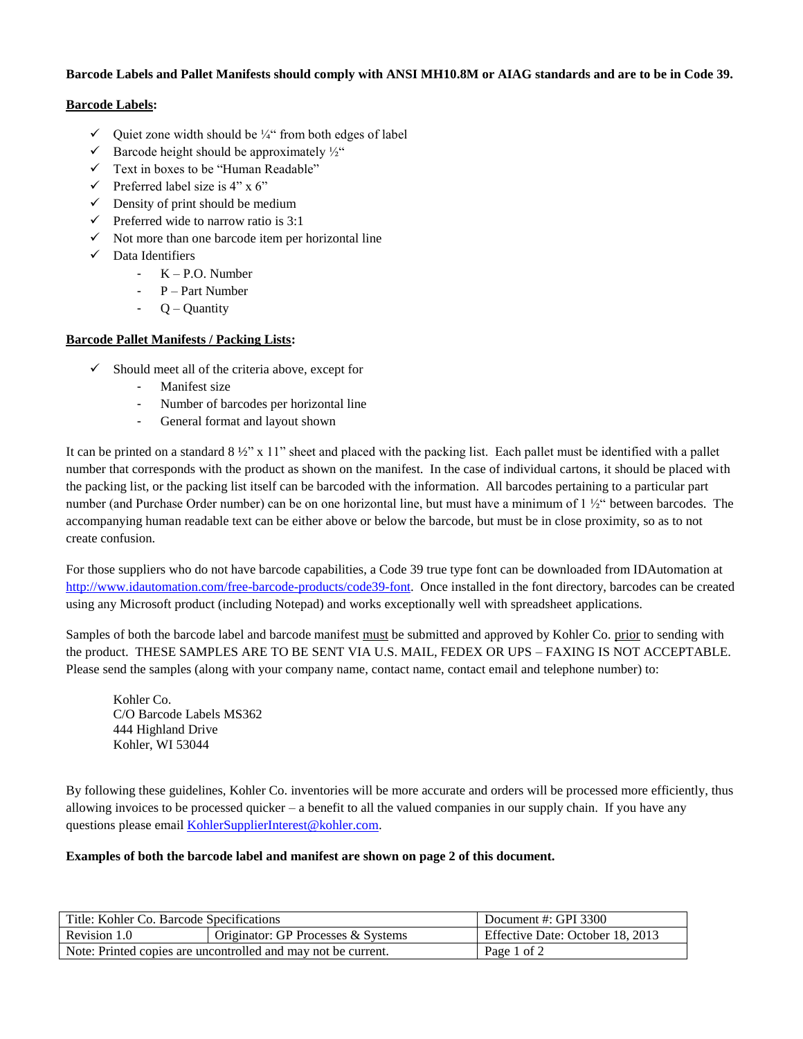#### **Barcode Labels and Pallet Manifests should comply with ANSI MH10.8M or AIAG standards and are to be in Code 39.**

# **Barcode Labels:**

- $\checkmark$  Ouiet zone width should be ¼" from both edges of label
- $\checkmark$  Barcode height should be approximately  $\frac{1}{2}$ "
- $\checkmark$  Text in boxes to be "Human Readable"
- $\checkmark$  Preferred label size is 4" x 6"
- $\checkmark$  Density of print should be medium
- $\checkmark$  Preferred wide to narrow ratio is 3:1
- $\checkmark$  Not more than one barcode item per horizontal line
- $\checkmark$  Data Identifiers
	- $-K P.O.$  Number
	- P Part Number
	- $Q -$ Quantity

# **Barcode Pallet Manifests / Packing Lists:**

- $\checkmark$  Should meet all of the criteria above, except for
	- Manifest size
	- Number of barcodes per horizontal line
	- General format and layout shown

It can be printed on a standard  $8\frac{1}{2}$ " x 11" sheet and placed with the packing list. Each pallet must be identified with a pallet number that corresponds with the product as shown on the manifest. In the case of individual cartons, it should be placed with the packing list, or the packing list itself can be barcoded with the information. All barcodes pertaining to a particular part number (and Purchase Order number) can be on one horizontal line, but must have a minimum of 1 ½" between barcodes. The accompanying human readable text can be either above or below the barcode, but must be in close proximity, so as to not create confusion.

For those suppliers who do not have barcode capabilities, a Code 39 true type font can be downloaded from IDAutomation at [http://www.idautomation.com/free-barcode-products/code39-font.](http://www.idautomation.com/free-barcode-products/code39-font) Once installed in the font directory, barcodes can be created using any Microsoft product (including Notepad) and works exceptionally well with spreadsheet applications.

Samples of both the barcode label and barcode manifest must be submitted and approved by Kohler Co. prior to sending with the product. THESE SAMPLES ARE TO BE SENT VIA U.S. MAIL, FEDEX OR UPS – FAXING IS NOT ACCEPTABLE. Please send the samples (along with your company name, contact name, contact email and telephone number) to:

Kohler Co. C/O Barcode Labels MS362 444 Highland Drive Kohler, WI 53044

By following these guidelines, Kohler Co. inventories will be more accurate and orders will be processed more efficiently, thus allowing invoices to be processed quicker – a benefit to all the valued companies in our supply chain. If you have any questions please email [KohlerSupplierInterest@kohler.com.](mailto:KohlerSupplierInterest@kohler.com)

#### **Examples of both the barcode label and manifest are shown on page 2 of this document.**

| Title: Kohler Co. Barcode Specifications                      |                                    | Document #: GPI 3300             |  |
|---------------------------------------------------------------|------------------------------------|----------------------------------|--|
| Revision 1.0                                                  | Originator: GP Processes & Systems | Effective Date: October 18, 2013 |  |
| Note: Printed copies are uncontrolled and may not be current. |                                    | Page 1 of 2                      |  |